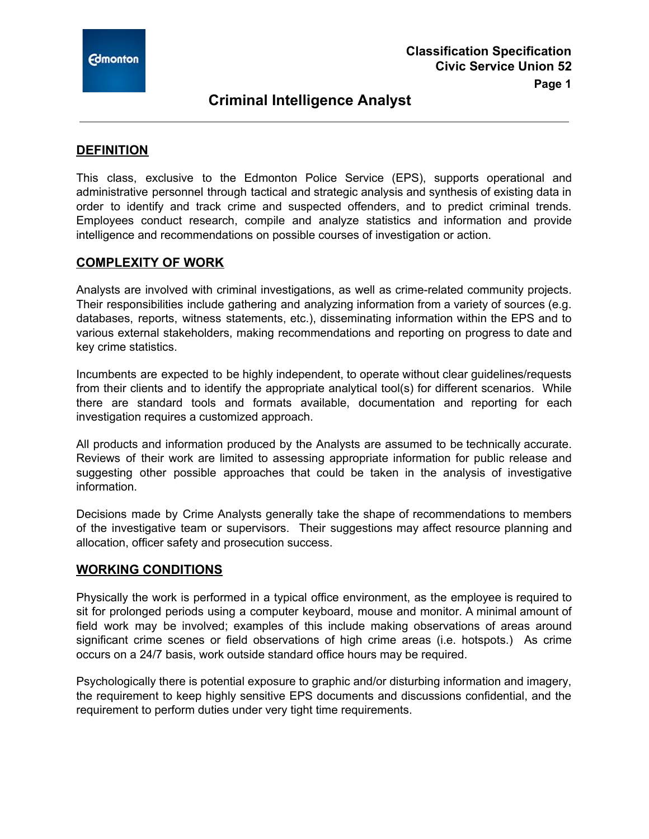

# **Criminal Intelligence Analyst**

### **DEFINITION**

This class, exclusive to the Edmonton Police Service (EPS), supports operational and administrative personnel through tactical and strategic analysis and synthesis of existing data in order to identify and track crime and suspected offenders, and to predict criminal trends. Employees conduct research, compile and analyze statistics and information and provide intelligence and recommendations on possible courses of investigation or action.

### **COMPLEXITY OF WORK**

Analysts are involved with criminal investigations, as well as crime-related community projects. Their responsibilities include gathering and analyzing information from a variety of sources (e.g. databases, reports, witness statements, etc.), disseminating information within the EPS and to various external stakeholders, making recommendations and reporting on progress to date and key crime statistics.

Incumbents are expected to be highly independent, to operate without clear guidelines/requests from their clients and to identify the appropriate analytical tool(s) for different scenarios. While there are standard tools and formats available, documentation and reporting for each investigation requires a customized approach.

All products and information produced by the Analysts are assumed to be technically accurate. Reviews of their work are limited to assessing appropriate information for public release and suggesting other possible approaches that could be taken in the analysis of investigative information.

Decisions made by Crime Analysts generally take the shape of recommendations to members of the investigative team or supervisors. Their suggestions may affect resource planning and allocation, officer safety and prosecution success.

### **WORKING CONDITIONS**

Physically the work is performed in a typical office environment, as the employee is required to sit for prolonged periods using a computer keyboard, mouse and monitor. A minimal amount of field work may be involved; examples of this include making observations of areas around significant crime scenes or field observations of high crime areas (i.e. hotspots.) As crime occurs on a 24/7 basis, work outside standard office hours may be required.

Psychologically there is potential exposure to graphic and/or disturbing information and imagery, the requirement to keep highly sensitive EPS documents and discussions confidential, and the requirement to perform duties under very tight time requirements.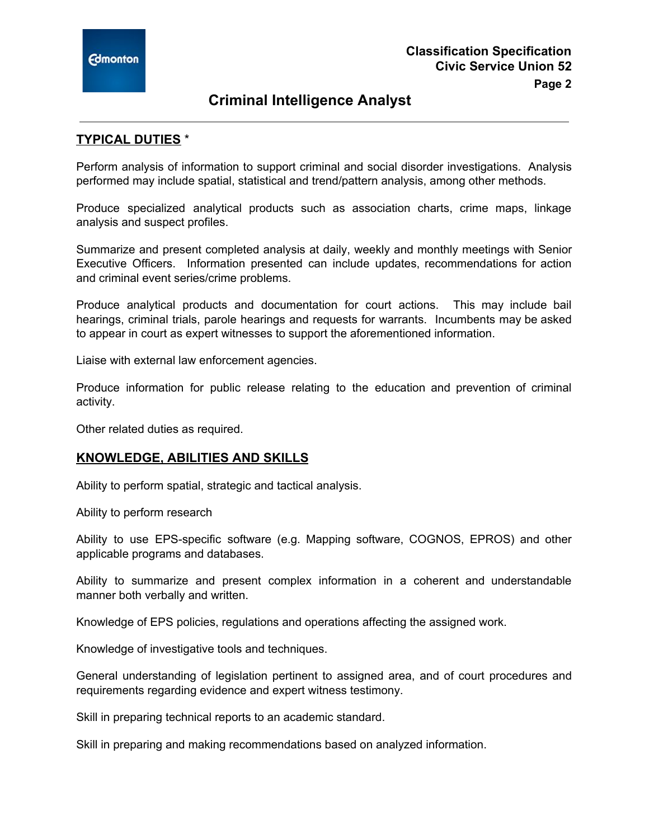

# **Criminal Intelligence Analyst**

## **TYPICAL DUTIES** \*

Perform analysis of information to support criminal and social disorder investigations. Analysis performed may include spatial, statistical and trend/pattern analysis, among other methods.

Produce specialized analytical products such as association charts, crime maps, linkage analysis and suspect profiles.

Summarize and present completed analysis at daily, weekly and monthly meetings with Senior Executive Officers. Information presented can include updates, recommendations for action and criminal event series/crime problems.

Produce analytical products and documentation for court actions. This may include bail hearings, criminal trials, parole hearings and requests for warrants. Incumbents may be asked to appear in court as expert witnesses to support the aforementioned information.

Liaise with external law enforcement agencies.

Produce information for public release relating to the education and prevention of criminal activity.

Other related duties as required.

### **KNOWLEDGE, ABILITIES AND SKILLS**

Ability to perform spatial, strategic and tactical analysis.

Ability to perform research

Ability to use EPS-specific software (e.g. Mapping software, COGNOS, EPROS) and other applicable programs and databases.

Ability to summarize and present complex information in a coherent and understandable manner both verbally and written.

Knowledge of EPS policies, regulations and operations affecting the assigned work.

Knowledge of investigative tools and techniques.

General understanding of legislation pertinent to assigned area, and of court procedures and requirements regarding evidence and expert witness testimony.

Skill in preparing technical reports to an academic standard.

Skill in preparing and making recommendations based on analyzed information.